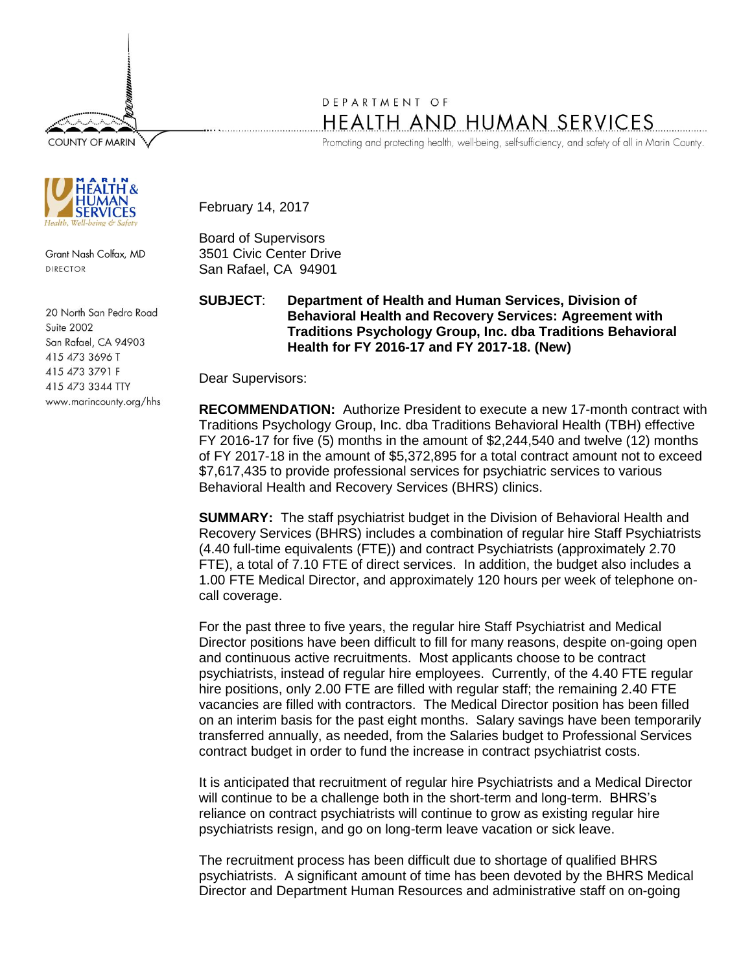**COUNTY OF MARIN** 



Grant Nash Colfax, MD DIRECTOR

20 North San Pedro Road Suite 2002 San Rafael, CA 94903 415 473 3696 T 415 473 3791 F 415 473 3344 TTY www.marincounty.org/hhs

## DEPARTMENT OF HEALTH AND HUMAN SERVICES

Promoting and protecting health, well-being, self-sufficiency, and safety of all in Marin County.

February 14, 2017

Board of Supervisors 3501 Civic Center Drive San Rafael, CA 94901

**SUBJECT**: **Department of Health and Human Services, Division of Behavioral Health and Recovery Services: Agreement with Traditions Psychology Group, Inc. dba Traditions Behavioral Health for FY 2016-17 and FY 2017-18. (New)**

Dear Supervisors:

**RECOMMENDATION:** Authorize President to execute a new 17-month contract with Traditions Psychology Group, Inc. dba Traditions Behavioral Health (TBH) effective FY 2016-17 for five (5) months in the amount of \$2,244,540 and twelve (12) months of FY 2017-18 in the amount of \$5,372,895 for a total contract amount not to exceed \$7,617,435 to provide professional services for psychiatric services to various Behavioral Health and Recovery Services (BHRS) clinics.

**SUMMARY:** The staff psychiatrist budget in the Division of Behavioral Health and Recovery Services (BHRS) includes a combination of regular hire Staff Psychiatrists (4.40 full-time equivalents (FTE)) and contract Psychiatrists (approximately 2.70 FTE), a total of 7.10 FTE of direct services. In addition, the budget also includes a 1.00 FTE Medical Director, and approximately 120 hours per week of telephone oncall coverage.

For the past three to five years, the regular hire Staff Psychiatrist and Medical Director positions have been difficult to fill for many reasons, despite on-going open and continuous active recruitments. Most applicants choose to be contract psychiatrists, instead of regular hire employees. Currently, of the 4.40 FTE regular hire positions, only 2.00 FTE are filled with regular staff; the remaining 2.40 FTE vacancies are filled with contractors. The Medical Director position has been filled on an interim basis for the past eight months. Salary savings have been temporarily transferred annually, as needed, from the Salaries budget to Professional Services contract budget in order to fund the increase in contract psychiatrist costs.

It is anticipated that recruitment of regular hire Psychiatrists and a Medical Director will continue to be a challenge both in the short-term and long-term. BHRS's reliance on contract psychiatrists will continue to grow as existing regular hire psychiatrists resign, and go on long-term leave vacation or sick leave.

The recruitment process has been difficult due to shortage of qualified BHRS psychiatrists. A significant amount of time has been devoted by the BHRS Medical Director and Department Human Resources and administrative staff on on-going